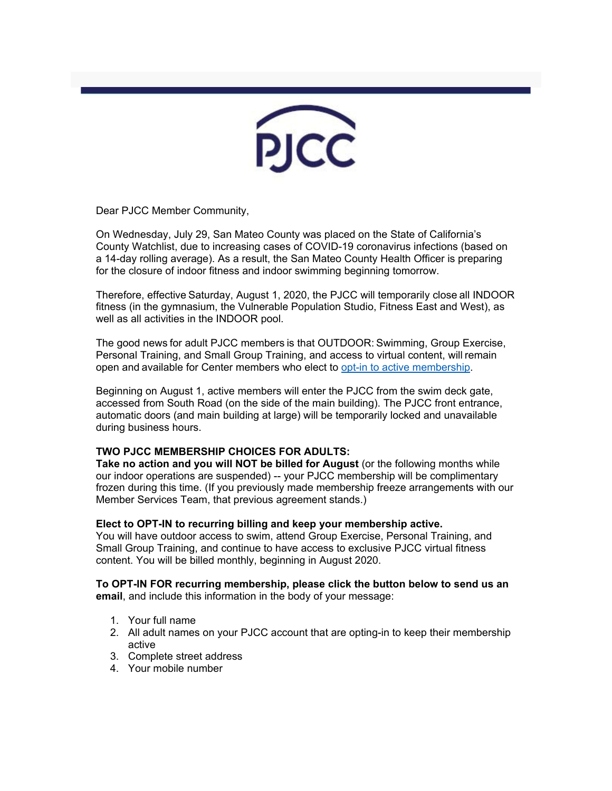PJCC

Dear PJCC Member Community,

On Wednesday, July 29, San Mateo County was placed on the State of California's County Watchlist, due to increasing cases of COVID-19 coronavirus infections (based on a 14-day rolling average). As a result, the San Mateo County Health Officer is preparing for the closure of indoor fitness and indoor swimming beginning tomorrow.

Therefore, effective Saturday, August 1, 2020, the PJCC will temporarily close all INDOOR fitness (in the gymnasium, the Vulnerable Population Studio, Fitness East and West), as well as all activities in the INDOOR pool.

The good news for adult PJCC members is that OUTDOOR: Swimming, Group Exercise, Personal Training, and Small Group Training, and access to virtual content, will remain open and available for Center members who elect to opt-in to active membership.

Beginning on August 1, active members will enter the PJCC from the swim deck gate, accessed from South Road (on the side of the main building). The PJCC front entrance, automatic doors (and main building at large) will be temporarily locked and unavailable during business hours.

#### **TWO PJCC MEMBERSHIP CHOICES FOR ADULTS:**

**Take no action and you will NOT be billed for August** (or the following months while our indoor operations are suspended) -- your PJCC membership will be complimentary frozen during this time. (If you previously made membership freeze arrangements with our Member Services Team, that previous agreement stands.)

#### **Elect to OPT-IN to recurring billing and keep your membership active.**

You will have outdoor access to swim, attend Group Exercise, Personal Training, and Small Group Training, and continue to have access to exclusive PJCC virtual fitness content. You will be billed monthly, beginning in August 2020.

**To OPT-IN FOR recurring membership, please click the button below to send us an email**, and include this information in the body of your message:

- 1. Your full name
- 2. All adult names on your PJCC account that are opting-in to keep their membership active
- 3. Complete street address
- 4. Your mobile number